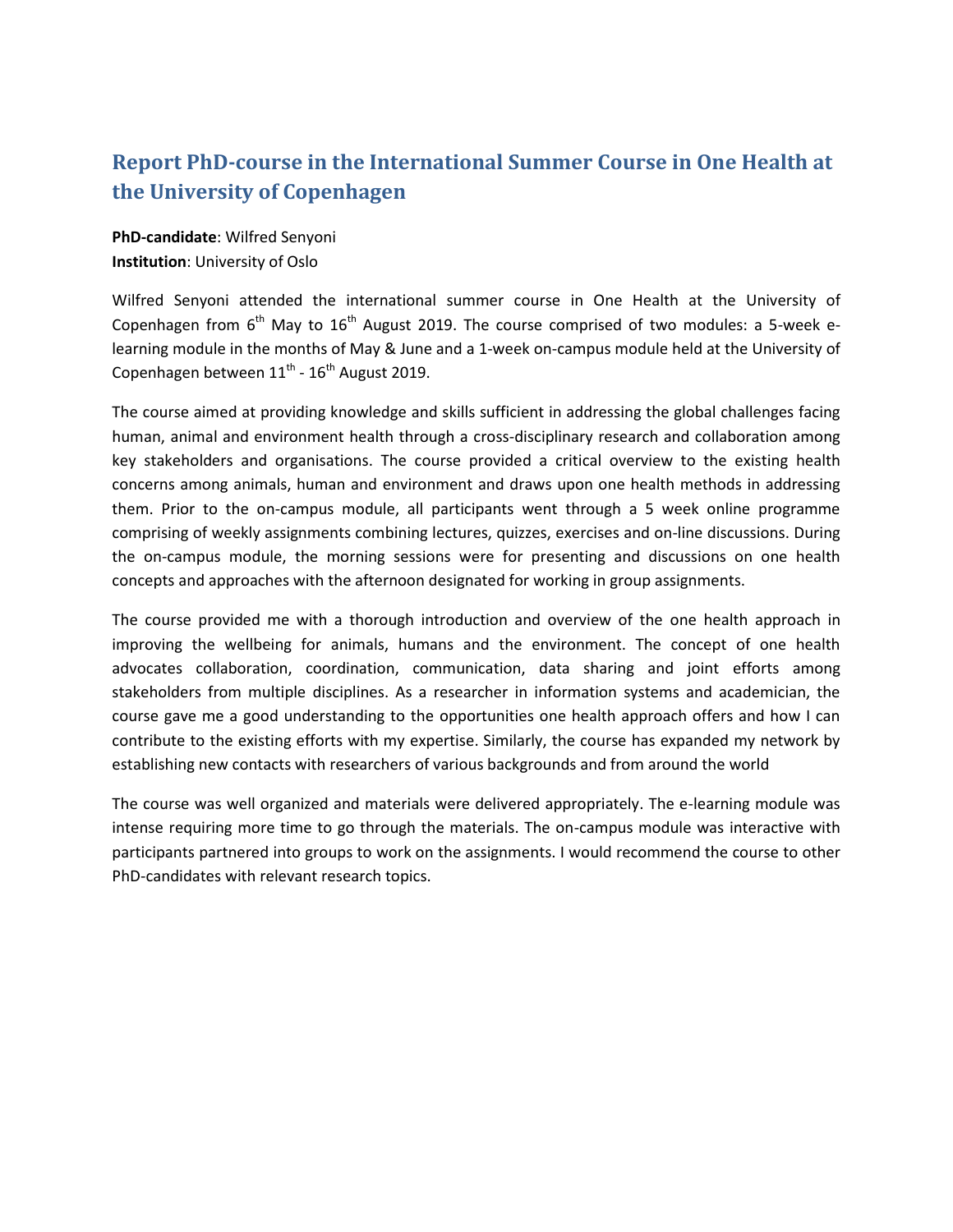## **Report PhD-course in the International Summer Course in One Health at the University of Copenhagen**

**PhD-candidate**: Wilfred Senyoni **Institution**: University of Oslo

Wilfred Senyoni attended the international summer course in One Health at the University of Copenhagen from  $6<sup>th</sup>$  May to  $16<sup>th</sup>$  August 2019. The course comprised of two modules: a 5-week elearning module in the months of May & June and a 1-week on-campus module held at the University of Copenhagen between  $11^{\text{th}}$  -  $16^{\text{th}}$  August 2019.

The course aimed at providing knowledge and skills sufficient in addressing the global challenges facing human, animal and environment health through a cross-disciplinary research and collaboration among key stakeholders and organisations. The course provided a critical overview to the existing health concerns among animals, human and environment and draws upon one health methods in addressing them. Prior to the on-campus module, all participants went through a 5 week online programme comprising of weekly assignments combining lectures, quizzes, exercises and on-line discussions. During the on-campus module, the morning sessions were for presenting and discussions on one health concepts and approaches with the afternoon designated for working in group assignments.

The course provided me with a thorough introduction and overview of the one health approach in improving the wellbeing for animals, humans and the environment. The concept of one health advocates collaboration, coordination, communication, data sharing and joint efforts among stakeholders from multiple disciplines. As a researcher in information systems and academician, the course gave me a good understanding to the opportunities one health approach offers and how I can contribute to the existing efforts with my expertise. Similarly, the course has expanded my network by establishing new contacts with researchers of various backgrounds and from around the world

The course was well organized and materials were delivered appropriately. The e-learning module was intense requiring more time to go through the materials. The on-campus module was interactive with participants partnered into groups to work on the assignments. I would recommend the course to other PhD-candidates with relevant research topics.